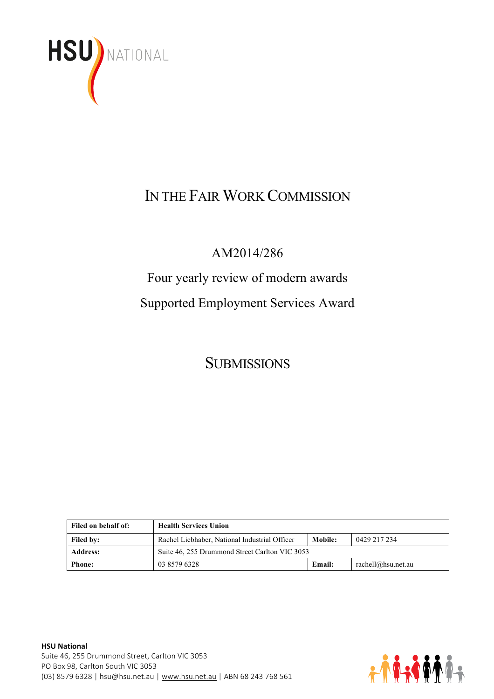

# IN THE FAIR WORK COMMISSION

### AM2014/286

# Four yearly review of modern awards Supported Employment Services Award

## **SUBMISSIONS**

| Filed on behalf of: | <b>Health Services Union</b>                   |                |                    |
|---------------------|------------------------------------------------|----------------|--------------------|
| <b>Filed by:</b>    | Rachel Liebhaber, National Industrial Officer  | <b>Mobile:</b> | 0429 217 234       |
| <b>Address:</b>     | Suite 46, 255 Drummond Street Carlton VIC 3053 |                |                    |
| <b>Phone:</b>       | 03 8579 6328                                   | <b>Email:</b>  | rachell@hsu.net.au |

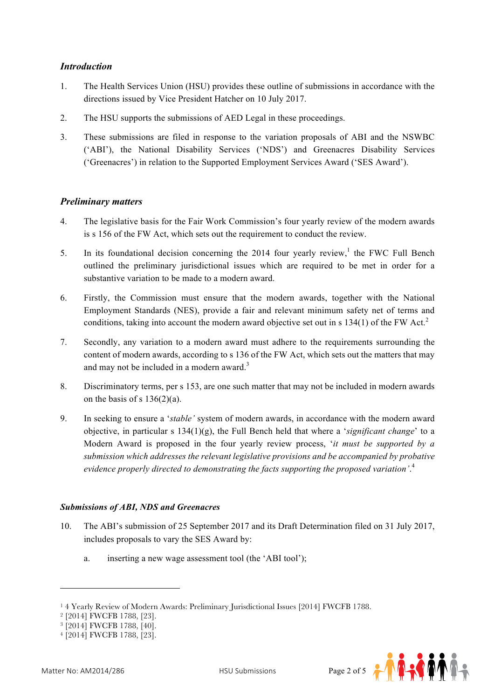#### *Introduction*

- 1. The Health Services Union (HSU) provides these outline of submissions in accordance with the directions issued by Vice President Hatcher on 10 July 2017.
- 2. The HSU supports the submissions of AED Legal in these proceedings.
- 3. These submissions are filed in response to the variation proposals of ABI and the NSWBC ('ABI'), the National Disability Services ('NDS') and Greenacres Disability Services ('Greenacres') in relation to the Supported Employment Services Award ('SES Award').

#### *Preliminary matters*

- 4. The legislative basis for the Fair Work Commission's four yearly review of the modern awards is s 156 of the FW Act, which sets out the requirement to conduct the review.
- 5. In its foundational decision concerning the 2014 four yearly review,<sup>1</sup> the FWC Full Bench outlined the preliminary jurisdictional issues which are required to be met in order for a substantive variation to be made to a modern award.
- 6. Firstly, the Commission must ensure that the modern awards, together with the National Employment Standards (NES), provide a fair and relevant minimum safety net of terms and conditions, taking into account the modern award objective set out in s  $134(1)$  of the FW Act.<sup>2</sup>
- 7. Secondly, any variation to a modern award must adhere to the requirements surrounding the content of modern awards, according to s 136 of the FW Act, which sets out the matters that may and may not be included in a modern award. $3$
- 8. Discriminatory terms, per s 153, are one such matter that may not be included in modern awards on the basis of s  $136(2)(a)$ .
- 9. In seeking to ensure a '*stable'* system of modern awards, in accordance with the modern award objective, in particular s 134(1)(g), the Full Bench held that where a '*significant change*' to a Modern Award is proposed in the four yearly review process, '*it must be supported by a submission which addresses the relevant legislative provisions and be accompanied by probative evidence properly directed to demonstrating the facts supporting the proposed variation'*. 4

#### *Submissions of ABI, NDS and Greenacres*

- 10. The ABI's submission of 25 September 2017 and its Draft Determination filed on 31 July 2017, includes proposals to vary the SES Award by:
	- a. inserting a new wage assessment tool (the 'ABI tool');

<sup>4</sup> [2014] FWCFB 1788, [23].



<sup>1</sup> 4 Yearly Review of Modern Awards: Preliminary Jurisdictional Issues [2014] FWCFB 1788.

<sup>2</sup> [2014] FWCFB 1788, [23].

<sup>&</sup>lt;sup>3</sup> [2014] FWCFB 1788, [40].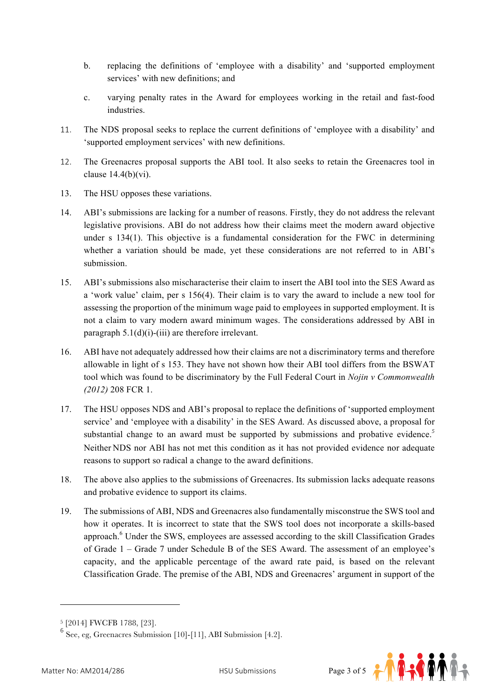- b. replacing the definitions of 'employee with a disability' and 'supported employment services' with new definitions; and
- c. varying penalty rates in the Award for employees working in the retail and fast-food industries.
- 11. The NDS proposal seeks to replace the current definitions of 'employee with a disability' and 'supported employment services' with new definitions.
- 12. The Greenacres proposal supports the ABI tool. It also seeks to retain the Greenacres tool in clause  $14.4(b)(vi)$ .
- 13. The HSU opposes these variations.
- 14. ABI's submissions are lacking for a number of reasons. Firstly, they do not address the relevant legislative provisions. ABI do not address how their claims meet the modern award objective under s 134(1). This objective is a fundamental consideration for the FWC in determining whether a variation should be made, yet these considerations are not referred to in ABI's submission.
- 15. ABI's submissions also mischaracterise their claim to insert the ABI tool into the SES Award as a 'work value' claim, per s 156(4). Their claim is to vary the award to include a new tool for assessing the proportion of the minimum wage paid to employees in supported employment. It is not a claim to vary modern award minimum wages. The considerations addressed by ABI in paragraph  $5.1(d)(i)$ -(iii) are therefore irrelevant.
- 16. ABI have not adequately addressed how their claims are not a discriminatory terms and therefore allowable in light of s 153. They have not shown how their ABI tool differs from the BSWAT tool which was found to be discriminatory by the Full Federal Court in *Nojin v Commonwealth (2012)* 208 FCR 1.
- 17. The HSU opposes NDS and ABI's proposal to replace the definitions of 'supported employment service' and 'employee with a disability' in the SES Award. As discussed above, a proposal for substantial change to an award must be supported by submissions and probative evidence.*<sup>5</sup>* Neither NDS nor ABI has not met this condition as it has not provided evidence nor adequate reasons to support so radical a change to the award definitions.
- 18. The above also applies to the submissions of Greenacres. Its submission lacks adequate reasons and probative evidence to support its claims.
- 19. The submissions of ABI, NDS and Greenacres also fundamentally misconstrue the SWS tool and how it operates. It is incorrect to state that the SWS tool does not incorporate a skills-based approach.<sup>6</sup> Under the SWS, employees are assessed according to the skill Classification Grades of Grade 1 – Grade 7 under Schedule B of the SES Award. The assessment of an employee's capacity, and the applicable percentage of the award rate paid, is based on the relevant Classification Grade. The premise of the ABI, NDS and Greenacres' argument in support of the

 $\frac{6}{x}$  See, eg, Greenacres Submission [10]-[11], ABI Submission [4.2].





<sup>5</sup> [2014] FWCFB 1788, [23].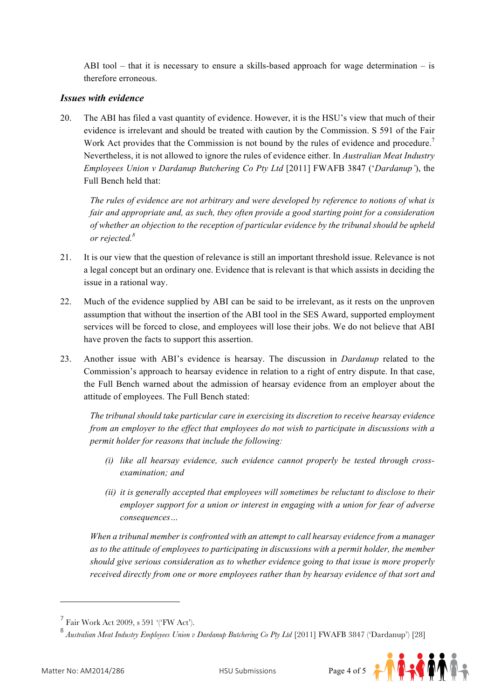ABI tool – that it is necessary to ensure a skills-based approach for wage determination – is therefore erroneous.

#### *Issues with evidence*

20. The ABI has filed a vast quantity of evidence. However, it is the HSU's view that much of their evidence is irrelevant and should be treated with caution by the Commission. S 591 of the Fair Work Act provides that the Commission is not bound by the rules of evidence and procedure.<sup>7</sup> Nevertheless, it is not allowed to ignore the rules of evidence either. In *Australian Meat Industry Employees Union v Dardanup Butchering Co Pty Ltd* [2011] FWAFB 3847 ('*Dardanup'*), the Full Bench held that:

*The rules of evidence are not arbitrary and were developed by reference to notions of what is fair and appropriate and, as such, they often provide a good starting point for a consideration of whether an objection to the reception of particular evidence by the tribunal should be upheld or rejected.8*

- 21. It is our view that the question of relevance is still an important threshold issue. Relevance is not a legal concept but an ordinary one. Evidence that is relevant is that which assists in deciding the issue in a rational way.
- 22. Much of the evidence supplied by ABI can be said to be irrelevant, as it rests on the unproven assumption that without the insertion of the ABI tool in the SES Award, supported employment services will be forced to close, and employees will lose their jobs. We do not believe that ABI have proven the facts to support this assertion.
- 23. Another issue with ABI's evidence is hearsay. The discussion in *Dardanup* related to the Commission's approach to hearsay evidence in relation to a right of entry dispute. In that case, the Full Bench warned about the admission of hearsay evidence from an employer about the attitude of employees. The Full Bench stated:

*The tribunal should take particular care in exercising its discretion to receive hearsay evidence from an employer to the effect that employees do not wish to participate in discussions with a permit holder for reasons that include the following:* 

- *(i) like all hearsay evidence, such evidence cannot properly be tested through crossexamination; and*
- *(ii) it is generally accepted that employees will sometimes be reluctant to disclose to their employer support for a union or interest in engaging with a union for fear of adverse consequences…*

*When a tribunal member is confronted with an attempt to call hearsay evidence from a manager as to the attitude of employees to participating in discussions with a permit holder, the member should give serious consideration as to whether evidence going to that issue is more properly received directly from one or more employees rather than by hearsay evidence of that sort and* 

<sup>8</sup> *Australian Meat Industry Employees Union v Dardanup Butchering Co Pty Ltd* [2011] FWAFB 3847 ('Dardanup') [28]



 $^7$  Fair Work Act 2009, s 591 '('FW Act').